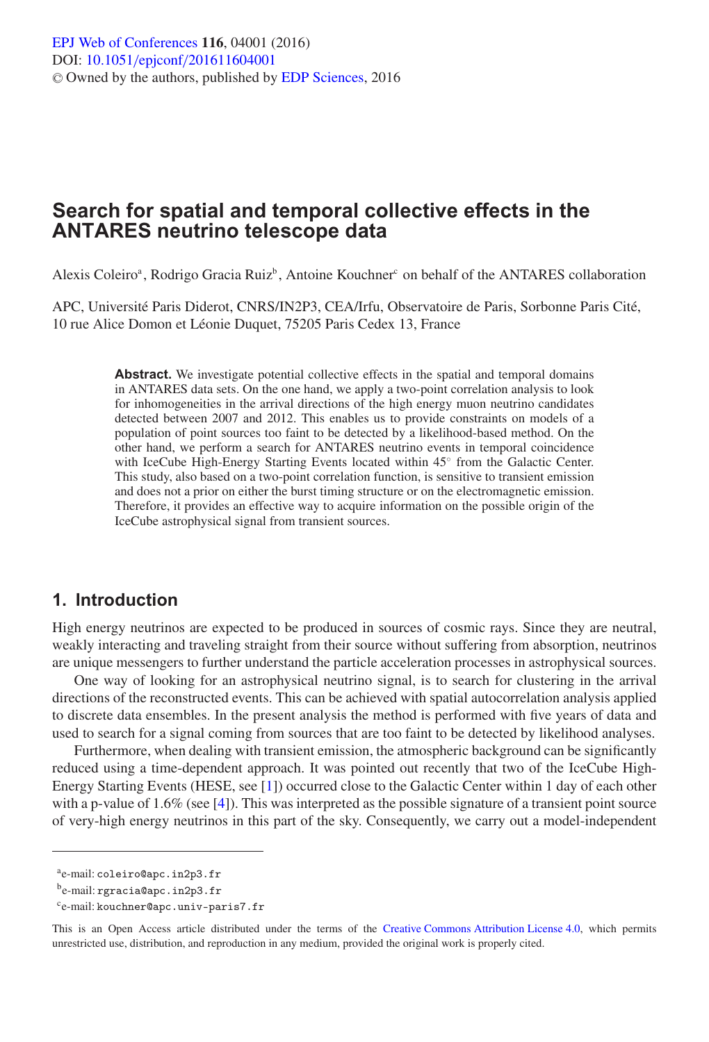# **Search for spatial and temporal collective effects in the ANTARES neutrino telescope data**

Alexis Coleiro<sup>a</sup>, Rodrigo Gracia Ruiz<sup>b</sup>, Antoine Kouchner<sup>c</sup> on behalf of the ANTARES collaboration

APC, Université Paris Diderot, CNRS/IN2P3, CEA/Irfu, Observatoire de Paris, Sorbonne Paris Cité, 10 rue Alice Domon et Léonie Duquet, 75205 Paris Cedex 13, France

> Abstract. We investigate potential collective effects in the spatial and temporal domains in ANTARES data sets. On the one hand, we apply a two-point correlation analysis to look for inhomogeneities in the arrival directions of the high energy muon neutrino candidates detected between 2007 and 2012. This enables us to provide constraints on models of a population of point sources too faint to be detected by a likelihood-based method. On the other hand, we perform a search for ANTARES neutrino events in temporal coincidence with IceCube High-Energy Starting Events located within 45◦ from the Galactic Center. This study, also based on a two-point correlation function, is sensitive to transient emission and does not a prior on either the burst timing structure or on the electromagnetic emission. Therefore, it provides an effective way to acquire information on the possible origin of the IceCube astrophysical signal from transient sources.

### **1. Introduction**

High energy neutrinos are expected to be produced in sources of cosmic rays. Since they are neutral, weakly interacting and traveling straight from their source without suffering from absorption, neutrinos are unique messengers to further understand the particle acceleration processes in astrophysical sources.

One way of looking for an astrophysical neutrino signal, is to search for clustering in the arrival directions of the reconstructed events. This can be achieved with spatial autocorrelation analysis applied to discrete data ensembles. In the present analysis the method is performed with five years of data and used to search for a signal coming from sources that are too faint to be detected by likelihood analyses.

Furthermore, when dealing with transient emission, the atmospheric background can be significantly reduced using a time-dependent approach. It was pointed out recently that two of the IceCube High-Energy Starting Events (HESE, see [\[1\]](#page-3-0)) occurred close to the Galactic Center within 1 day of each other with a p-value of 1.6% (see [\[4](#page-3-1)]). This was interpreted as the possible signature of a transient point source of very-high energy neutrinos in this part of the sky. Consequently, we carry out a model-independent

ae-mail: coleiro@apc.in2p3.fr

be-mail: rgracia@apc.in2p3.fr

ce-mail: kouchner@apc.univ-paris7.fr

This is an Open Access article distributed under the terms of the [Creative Commons Attribution License 4.0,](http://creativecommons.org/licenses/by/4.0/) which permits unrestricted use, distribution, and reproduction in any medium, provided the original work is properly cited.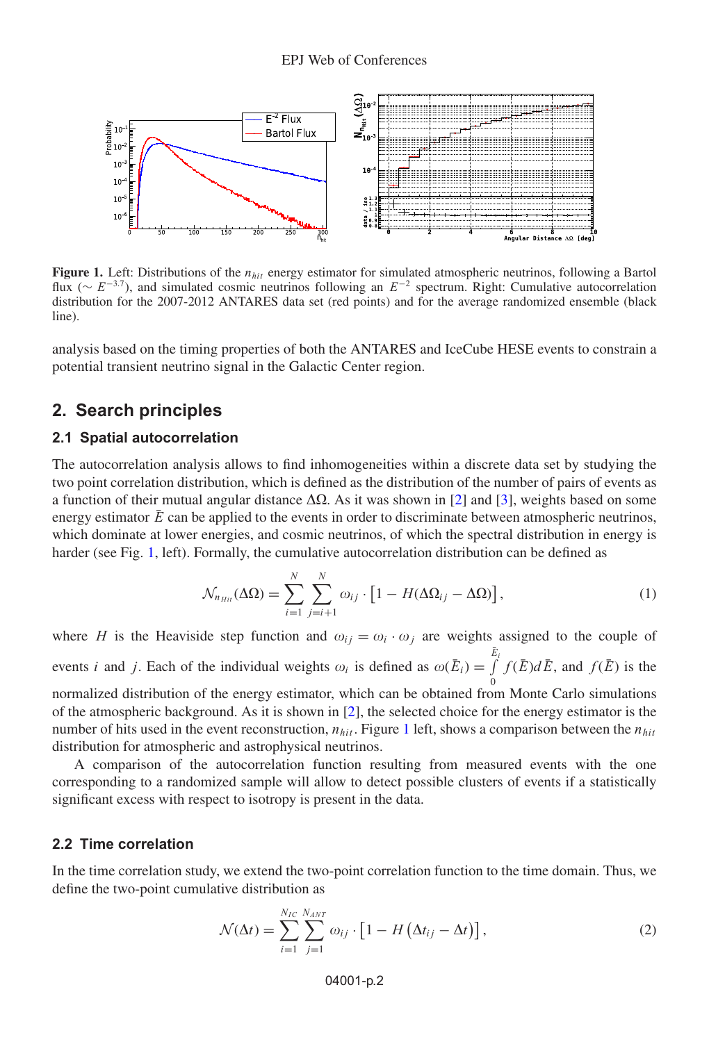<span id="page-1-0"></span>

**Figure 1.** Left: Distributions of the  $n_{hit}$  energy estimator for simulated atmospheric neutrinos, following a Bartol flux ( $∼ E^{-3.7}$ ), and simulated cosmic neutrinos following an  $E^{-2}$  spectrum. Right: Cumulative autocorrelation distribution for the 2007-2012 ANTARES data set (red points) and for the average randomized ensemble (black line).

analysis based on the timing properties of both the ANTARES and IceCube HESE events to constrain a potential transient neutrino signal in the Galactic Center region.

## **2. Search principles**

#### **2.1 Spatial autocorrelation**

The autocorrelation analysis allows to find inhomogeneities within a discrete data set by studying the two point correlation distribution, which is defined as the distribution of the number of pairs of events as a function of their mutual angular distance  $\Delta\Omega$ . As it was shown in [\[2](#page-3-2)] and [\[3\]](#page-3-3), weights based on some energy estimator  $\overline{E}$  can be applied to the events in order to discriminate between atmospheric neutrinos, which dominate at lower energies, and cosmic neutrinos, of which the spectral distribution in energy is harder (see Fig. [1,](#page-1-0) left). Formally, the cumulative autocorrelation distribution can be defined as

$$
\mathcal{N}_{n_{Hi}}(\Delta \Omega) = \sum_{i=1}^{N} \sum_{j=i+1}^{N} \omega_{ij} \cdot \left[1 - H(\Delta \Omega_{ij} - \Delta \Omega)\right],\tag{1}
$$

where H is the Heaviside step function and  $\omega_{ij} = \omega_i \cdot \omega_j$  are weights assigned to the couple of events *i* and *j*. Each of the individual weights  $\omega_i$  is defined as  $\omega(\bar{E}_i) = \int_{i}^{\bar{E}_i}$  $\theta$  $f(\bar{E})d\bar{E}$ , and  $f(\bar{E})$  is the normalized distribution of the energy estimator, which can be obtained from Monte Carlo simulations of the atmospheric background. As it is shown in  $[2]$ , the selected choice for the energy estimator is the number of hits used in the event reconstruction,  $n_{hit}$ . Figure [1](#page-1-0) left, shows a comparison between the  $n_{hit}$ distribution for atmospheric and astrophysical neutrinos.

A comparison of the autocorrelation function resulting from measured events with the one corresponding to a randomized sample will allow to detect possible clusters of events if a statistically significant excess with respect to isotropy is present in the data.

#### **2.2 Time correlation**

In the time correlation study, we extend the two-point correlation function to the time domain. Thus, we define the two-point cumulative distribution as

$$
\mathcal{N}(\Delta t) = \sum_{i=1}^{N_{IC}} \sum_{j=1}^{N_{ANT}} \omega_{ij} \cdot \left[1 - H\left(\Delta t_{ij} - \Delta t\right)\right],\tag{2}
$$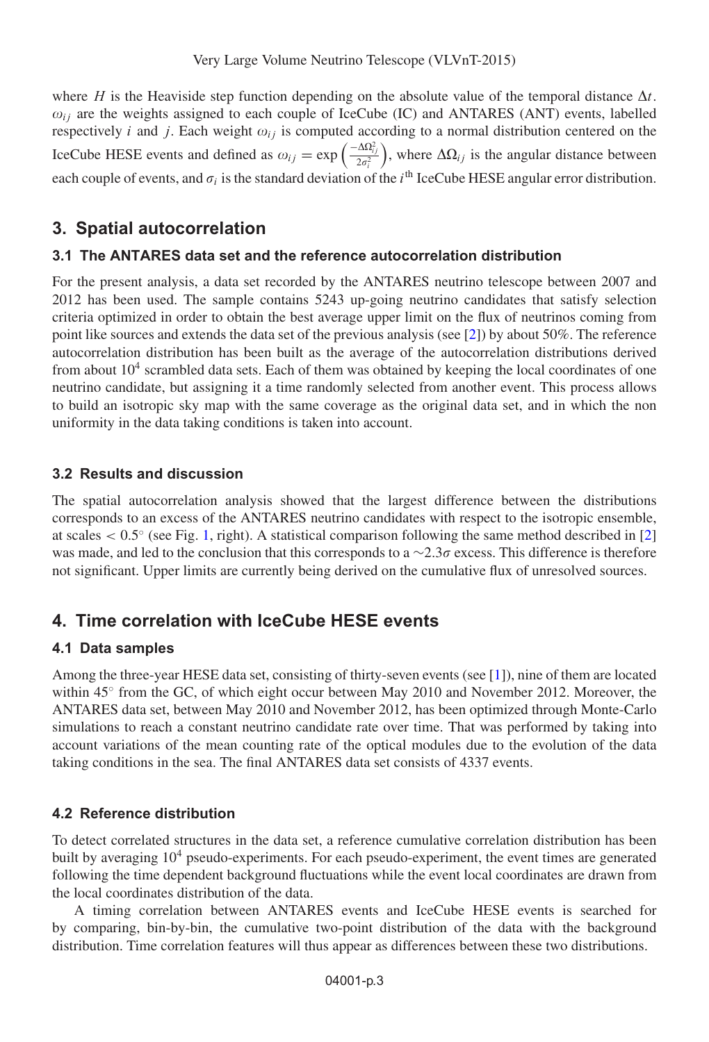where H is the Heaviside step function depending on the absolute value of the temporal distance  $\Delta t$ .  $\omega_{ij}$  are the weights assigned to each couple of IceCube (IC) and ANTARES (ANT) events, labelled respectively i and j. Each weight  $\omega_{ij}$  is computed according to a normal distribution centered on the IceCube HESE events and defined as  $\omega_{ij} = \exp \left( \frac{-\Delta \Omega_{ij}^2}{2\sigma_i^2} \right)$  $\frac{\Delta \Omega_{i,j}^2}{2\sigma_i^2}$ , where  $\Delta \Omega_{i,j}$  is the angular distance between each couple of events, and  $\sigma_i$  is the standard deviation of the  $i^{\text{th}}$  IceCube HESE angular error distribution.

# **3. Spatial autocorrelation**

### **3.1 The ANTARES data set and the reference autocorrelation distribution**

For the present analysis, a data set recorded by the ANTARES neutrino telescope between 2007 and 2012 has been used. The sample contains 5243 up-going neutrino candidates that satisfy selection criteria optimized in order to obtain the best average upper limit on the flux of neutrinos coming from point like sources and extends the data set of the previous analysis (see [\[2\]](#page-3-2)) by about 50%. The reference autocorrelation distribution has been built as the average of the autocorrelation distributions derived from about  $10<sup>4</sup>$  scrambled data sets. Each of them was obtained by keeping the local coordinates of one neutrino candidate, but assigning it a time randomly selected from another event. This process allows to build an isotropic sky map with the same coverage as the original data set, and in which the non uniformity in the data taking conditions is taken into account.

### **3.2 Results and discussion**

The spatial autocorrelation analysis showed that the largest difference between the distributions corresponds to an excess of the ANTARES neutrino candidates with respect to the isotropic ensemble, at scales  $< 0.5^\circ$  (see Fig. [1,](#page-1-0) right). A statistical comparison following the same method described in [\[2](#page-3-2)] was made, and led to the conclusion that this corresponds to a  $\sim$ 2.3 $\sigma$  excess. This difference is therefore not significant. Upper limits are currently being derived on the cumulative flux of unresolved sources.

## **4. Time correlation with IceCube HESE events**

### **4.1 Data samples**

Among the three-year HESE data set, consisting of thirty-seven events (see [\[1\]](#page-3-0)), nine of them are located within 45° from the GC, of which eight occur between May 2010 and November 2012. Moreover, the ANTARES data set, between May 2010 and November 2012, has been optimized through Monte-Carlo simulations to reach a constant neutrino candidate rate over time. That was performed by taking into account variations of the mean counting rate of the optical modules due to the evolution of the data taking conditions in the sea. The final ANTARES data set consists of 4337 events.

## **4.2 Reference distribution**

To detect correlated structures in the data set, a reference cumulative correlation distribution has been built by averaging 10<sup>4</sup> pseudo-experiments. For each pseudo-experiment, the event times are generated following the time dependent background fluctuations while the event local coordinates are drawn from the local coordinates distribution of the data.

A timing correlation between ANTARES events and IceCube HESE events is searched for by comparing, bin-by-bin, the cumulative two-point distribution of the data with the background distribution. Time correlation features will thus appear as differences between these two distributions.